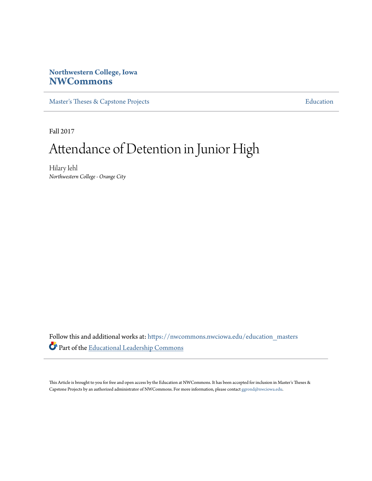## **Northwestern College, Iowa [NWCommons](https://nwcommons.nwciowa.edu?utm_source=nwcommons.nwciowa.edu%2Feducation_masters%2F63&utm_medium=PDF&utm_campaign=PDFCoverPages)**

[Master's Theses & Capstone Projects](https://nwcommons.nwciowa.edu/education_masters?utm_source=nwcommons.nwciowa.edu%2Feducation_masters%2F63&utm_medium=PDF&utm_campaign=PDFCoverPages) **[Education](https://nwcommons.nwciowa.edu/education?utm_source=nwcommons.nwciowa.edu%2Feducation_masters%2F63&utm_medium=PDF&utm_campaign=PDFCoverPages)** 

Fall 2017

# Attendance of Detention in Junior High

Hilary Iehl *Northwestern College - Orange City*

Follow this and additional works at: [https://nwcommons.nwciowa.edu/education\\_masters](https://nwcommons.nwciowa.edu/education_masters?utm_source=nwcommons.nwciowa.edu%2Feducation_masters%2F63&utm_medium=PDF&utm_campaign=PDFCoverPages) Part of the [Educational Leadership Commons](http://network.bepress.com/hgg/discipline/1230?utm_source=nwcommons.nwciowa.edu%2Feducation_masters%2F63&utm_medium=PDF&utm_campaign=PDFCoverPages)

This Article is brought to you for free and open access by the Education at NWCommons. It has been accepted for inclusion in Master's Theses & Capstone Projects by an authorized administrator of NWCommons. For more information, please contact [ggrond@nwciowa.edu.](mailto:ggrond@nwciowa.edu)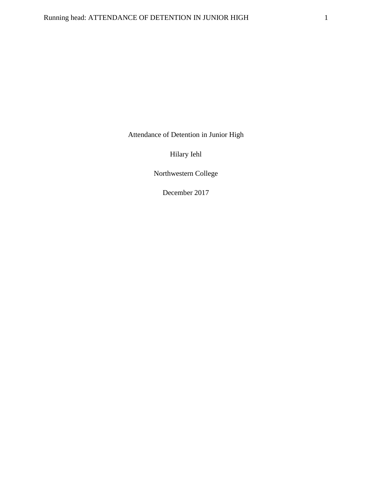Attendance of Detention in Junior High

Hilary Iehl

Northwestern College

December 2017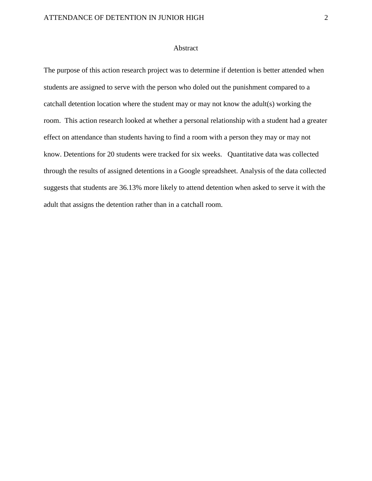## Abstract

The purpose of this action research project was to determine if detention is better attended when students are assigned to serve with the person who doled out the punishment compared to a catchall detention location where the student may or may not know the adult(s) working the room. This action research looked at whether a personal relationship with a student had a greater effect on attendance than students having to find a room with a person they may or may not know. Detentions for 20 students were tracked for six weeks. Quantitative data was collected through the results of assigned detentions in a Google spreadsheet. Analysis of the data collected suggests that students are 36.13% more likely to attend detention when asked to serve it with the adult that assigns the detention rather than in a catchall room.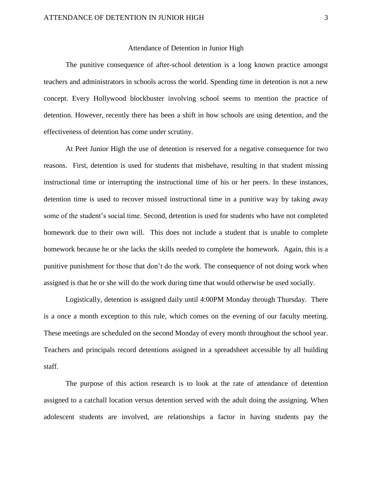#### Attendance of Detention in Junior High

The punitive consequence of after-school detention is a long known practice amongst teachers and administrators in schools across the world. Spending time in detention is not a new concept. Every Hollywood blockbuster involving school seems to mention the practice of detention. However, recently there has been a shift in how schools are using detention, and the effectiveness of detention has come under scrutiny.

At Peet Junior High the use of detention is reserved for a negative consequence for two reasons. First, detention is used for students that misbehave, resulting in that student missing instructional time or interrupting the instructional time of his or her peers. In these instances, detention time is used to recover missed instructional time in a punitive way by taking away some of the student's social time. Second, detention is used for students who have not completed homework due to their own will. This does not include a student that is unable to complete homework because he or she lacks the skills needed to complete the homework. Again, this is a punitive punishment for those that don't do the work. The consequence of not doing work when assigned is that he or she will do the work during time that would otherwise be used socially.

Logistically, detention is assigned daily until 4:00PM Monday through Thursday. There is a once a month exception to this rule, which comes on the evening of our faculty meeting. These meetings are scheduled on the second Monday of every month throughout the school year. Teachers and principals record detentions assigned in a spreadsheet accessible by all building staff.

The purpose of this action research is to look at the rate of attendance of detention assigned to a catchall location versus detention served with the adult doing the assigning. When adolescent students are involved, are relationships a factor in having students pay the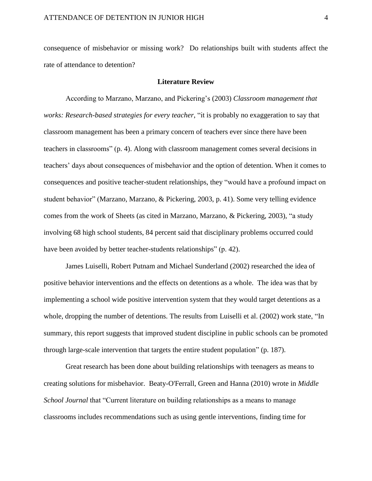consequence of misbehavior or missing work? Do relationships built with students affect the rate of attendance to detention?

#### **Literature Review**

According to Marzano, Marzano, and Pickering's (2003) *Classroom management that works: Research-based strategies for every teacher*, "it is probably no exaggeration to say that classroom management has been a primary concern of teachers ever since there have been teachers in classrooms" (p. 4). Along with classroom management comes several decisions in teachers' days about consequences of misbehavior and the option of detention. When it comes to consequences and positive teacher-student relationships, they "would have a profound impact on student behavior" (Marzano, Marzano, & Pickering, 2003, p. 41). Some very telling evidence comes from the work of Sheets (as cited in Marzano, Marzano, & Pickering, 2003), "a study involving 68 high school students, 84 percent said that disciplinary problems occurred could have been avoided by better teacher-students relationships" (p. 42).

James Luiselli, Robert Putnam and Michael Sunderland (2002) researched the idea of positive behavior interventions and the effects on detentions as a whole. The idea was that by implementing a school wide positive intervention system that they would target detentions as a whole, dropping the number of detentions. The results from Luiselli et al. (2002) work state, "In summary, this report suggests that improved student discipline in public schools can be promoted through large-scale intervention that targets the entire student population" (p. 187).

Great research has been done about building relationships with teenagers as means to creating solutions for misbehavior. Beaty-O'Ferrall, Green and Hanna (2010) wrote in *Middle School Journal* that "Current literature on building relationships as a means to manage classrooms includes recommendations such as using gentle interventions, finding time for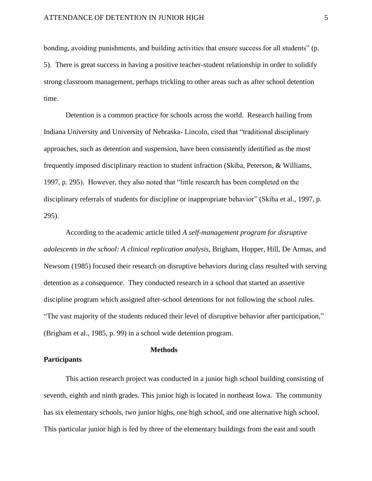bonding, avoiding punishments, and building activities that ensure success for all students" (p. 5). There is great success in having a positive teacher-student relationship in order to solidify strong classroom management, perhaps trickling to other areas such as after school detention time.

Detention is a common practice for schools across the world. Research hailing from Indiana University and University of Nebraska- Lincoln, cited that "traditional disciplinary approaches, such as detention and suspension, have been consistently identified as the most frequently imposed disciplinary reaction to student infraction (Skiba, Peterson, & Williams, 1997, p. 295). However, they also noted that "little research has been completed on the disciplinary referrals of students for discipline or inappropriate behavior" (Skiba et al., 1997, p. 295).

According to the academic article titled *A self-management program for disruptive adolescents in the school: A clinical replication analysis*, Brigham, Hopper, Hill, De Armas, and Newsom (1985) focused their research on disruptive behaviors during class resulted with serving detention as a consequence. They conducted research in a school that started an assertive discipline program which assigned after-school detentions for not following the school rules. "The vast majority of the students reduced their level of disruptive behavior after participation," (Brigham et al., 1985, p. 99) in a school wide detention program.

## **Methods**

## **Participants**

This action research project was conducted in a junior high school building consisting of seventh, eighth and ninth grades. This junior high is located in northeast Iowa. The community has six elementary schools, two junior highs, one high school, and one alternative high school. This particular junior high is fed by three of the elementary buildings from the east and south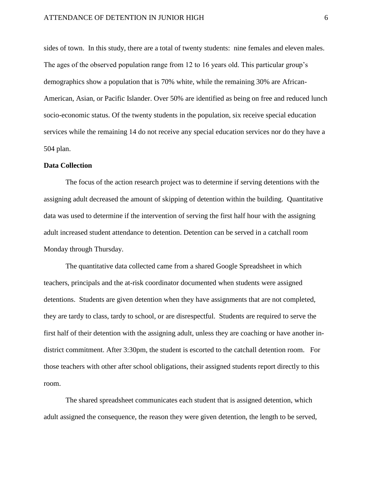## ATTENDANCE OF DETENTION IN JUNIOR HIGH 6

sides of town. In this study, there are a total of twenty students: nine females and eleven males. The ages of the observed population range from 12 to 16 years old. This particular group's demographics show a population that is 70% white, while the remaining 30% are African-American, Asian, or Pacific Islander. Over 50% are identified as being on free and reduced lunch socio-economic status. Of the twenty students in the population, six receive special education services while the remaining 14 do not receive any special education services nor do they have a 504 plan.

## **Data Collection**

The focus of the action research project was to determine if serving detentions with the assigning adult decreased the amount of skipping of detention within the building. Quantitative data was used to determine if the intervention of serving the first half hour with the assigning adult increased student attendance to detention. Detention can be served in a catchall room Monday through Thursday.

The quantitative data collected came from a shared Google Spreadsheet in which teachers, principals and the at-risk coordinator documented when students were assigned detentions. Students are given detention when they have assignments that are not completed, they are tardy to class, tardy to school, or are disrespectful. Students are required to serve the first half of their detention with the assigning adult, unless they are coaching or have another indistrict commitment. After 3:30pm, the student is escorted to the catchall detention room. For those teachers with other after school obligations, their assigned students report directly to this room.

The shared spreadsheet communicates each student that is assigned detention, which adult assigned the consequence, the reason they were given detention, the length to be served,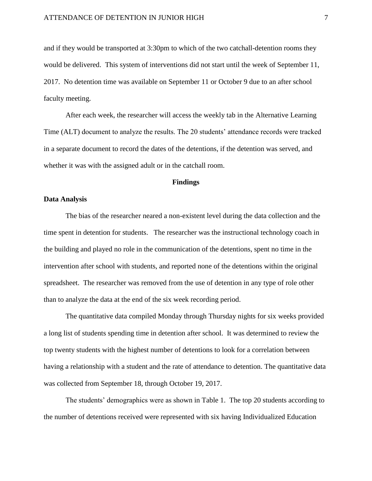and if they would be transported at 3:30pm to which of the two catchall-detention rooms they would be delivered. This system of interventions did not start until the week of September 11, 2017. No detention time was available on September 11 or October 9 due to an after school faculty meeting.

After each week, the researcher will access the weekly tab in the Alternative Learning Time (ALT) document to analyze the results. The 20 students' attendance records were tracked in a separate document to record the dates of the detentions, if the detention was served, and whether it was with the assigned adult or in the catchall room.

## **Findings**

#### **Data Analysis**

The bias of the researcher neared a non-existent level during the data collection and the time spent in detention for students. The researcher was the instructional technology coach in the building and played no role in the communication of the detentions, spent no time in the intervention after school with students, and reported none of the detentions within the original spreadsheet. The researcher was removed from the use of detention in any type of role other than to analyze the data at the end of the six week recording period.

The quantitative data compiled Monday through Thursday nights for six weeks provided a long list of students spending time in detention after school. It was determined to review the top twenty students with the highest number of detentions to look for a correlation between having a relationship with a student and the rate of attendance to detention. The quantitative data was collected from September 18, through October 19, 2017.

The students' demographics were as shown in Table 1. The top 20 students according to the number of detentions received were represented with six having Individualized Education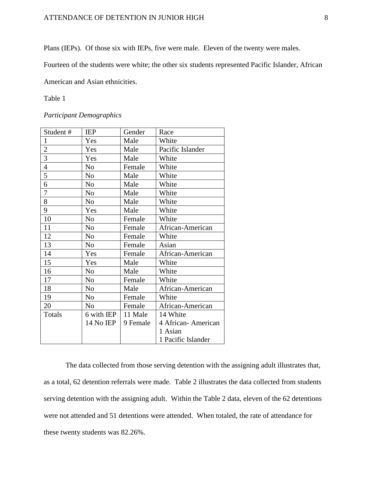Plans (IEPs). Of those six with IEPs, five were male. Eleven of the twenty were males.

Fourteen of the students were white; the other six students represented Pacific Islander, African

American and Asian ethnicities.

## Table 1

*Participant Demographics*

| Student#       | <b>IEP</b>     | Gender   | Race               |
|----------------|----------------|----------|--------------------|
| 1              | Yes            | Male     | White              |
| $\overline{2}$ | Yes            | Male     | Pacific Islander   |
| 3              | Yes            | Male     | White              |
| $\overline{4}$ | N <sub>0</sub> | Female   | White              |
| 5              | No             | Male     | White              |
| 6              | N <sub>0</sub> | Male     | White              |
| 7              | No             | Male     | White              |
| 8              | N <sub>0</sub> | Male     | White              |
| 9              | Yes            | Male     | White              |
| 10             | N <sub>o</sub> | Female   | White              |
| 11             | N <sub>o</sub> | Female   | African-American   |
| 12             | N <sub>0</sub> | Female   | White              |
| 13             | N <sub>0</sub> | Female   | Asian              |
| 14             | Yes            | Female   | African-American   |
| 15             | Yes            | Male     | White              |
| 16             | N <sub>o</sub> | Male     | White              |
| 17             | N <sub>o</sub> | Female   | White              |
| 18             | N <sub>0</sub> | Male     | African-American   |
| 19             | N <sub>o</sub> | Female   | White              |
| 20             | N <sub>o</sub> | Female   | African-American   |
| Totals         | 6 with IEP     | 11 Male  | 14 White           |
|                | 14 No IEP      | 9 Female | 4 African-American |
|                |                |          | 1 Asian            |
|                |                |          | 1 Pacific Islander |

The data collected from those serving detention with the assigning adult illustrates that, as a total, 62 detention referrals were made. Table 2 illustrates the data collected from students serving detention with the assigning adult. Within the Table 2 data, eleven of the 62 detentions were not attended and 51 detentions were attended. When totaled, the rate of attendance for these twenty students was 82.26%.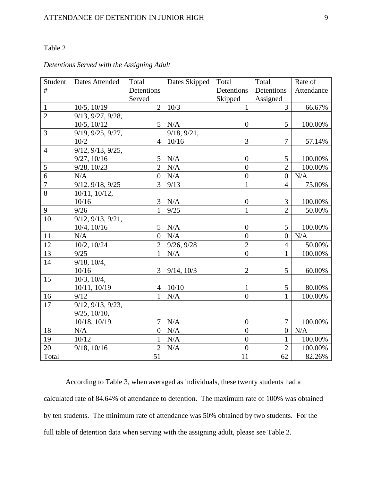## Table 2

## *Detentions Served with the Assigning Adult*

| Student        | <b>Dates Attended</b>           | Total            | Dates Skipped   | Total            | Total            | Rate of    |
|----------------|---------------------------------|------------------|-----------------|------------------|------------------|------------|
| #              |                                 | Detentions       |                 | Detentions       | Detentions       | Attendance |
|                |                                 | Served           |                 | Skipped          | Assigned         |            |
| $\mathbf{1}$   | 10/5, 10/19                     | $\overline{2}$   | 10/3            | $\mathbf{1}$     | $\overline{3}$   | 66.67%     |
| $\overline{2}$ | $\overline{9/13}$ , 9/27, 9/28, |                  |                 |                  |                  |            |
|                | 10/5, 10/12                     | 5                | N/A             | $\overline{0}$   | 5                | 100.00%    |
| 3              | 9/19, 9/25, 9/27,               |                  | 9/18, 9/21,     |                  |                  |            |
|                | 10/2                            | $\overline{4}$   | 10/16           | 3                | $\overline{7}$   | 57.14%     |
| $\overline{4}$ | 9/12, 9/13, 9/25,               |                  |                 |                  |                  |            |
|                | 9/27, 10/16                     | 5                | N/A             | $\boldsymbol{0}$ | 5                | 100.00%    |
| $\mathfrak{S}$ | 9/28, 10/23                     | $\overline{2}$   | N/A             | $\overline{0}$   | $\overline{2}$   | 100.00%    |
| $\overline{6}$ | N/A                             | $\boldsymbol{0}$ | N/A             | $\boldsymbol{0}$ | $\boldsymbol{0}$ | N/A        |
| $\overline{7}$ | 9/12.9/18, 9/25                 | $\overline{3}$   | 9/13            | $\mathbf{1}$     | $\overline{4}$   | 75.00%     |
| 8              | 10/11, 10/12,                   |                  |                 |                  |                  |            |
|                | 10/16                           | 3                | N/A             | $\boldsymbol{0}$ | 3                | 100.00%    |
| 9              | 9/26                            | $\mathbf{1}$     | 9/25            | $\mathbf{1}$     | $\overline{2}$   | 50.00%     |
| 10             | 9/12, 9/13, 9/21,               |                  |                 |                  |                  |            |
|                | 10/4, 10/16                     | 5                | N/A             | $\boldsymbol{0}$ | 5                | 100.00%    |
| 11             | N/A                             | $\overline{0}$   | N/A             | $\overline{0}$   | $\overline{0}$   | N/A        |
| 12             | 10/2, 10/24                     | $\overline{2}$   | 9/26, 9/28      | $\overline{2}$   | $\overline{4}$   | 50.00%     |
| 13             | 9/25                            | $\mathbf{1}$     | N/A             | $\overline{0}$   | $\mathbf{1}$     | 100.00%    |
| 14             | $9/18$ , $10/4$ ,               |                  |                 |                  |                  |            |
|                | 10/16                           | 3                | $9/14$ , $10/3$ | $\overline{2}$   | 5                | 60.00%     |
| 15             | 10/3, 10/4,                     |                  |                 |                  |                  |            |
|                | 10/11, 10/19                    | $\overline{4}$   | 10/10           | 1                | 5                | 80.00%     |
| 16             | 9/12                            | $\mathbf{1}$     | N/A             | $\overline{0}$   | $\mathbf{1}$     | 100.00%    |
| 17             | 9/12, 9/13, 9/23,               |                  |                 |                  |                  |            |
|                | $9/25$ , $10/10$ ,              |                  |                 |                  |                  |            |
|                | 10/18, 10/19                    | $\tau$           | N/A             | $\boldsymbol{0}$ | $\tau$           | 100.00%    |
| 18             | N/A                             | $\theta$         | N/A             | $\theta$         | $\overline{0}$   | N/A        |
| 19             | 10/12                           | 1                | N/A             | $\overline{0}$   | $\mathbf{1}$     | 100.00%    |
| 20             | $9/18$ , $10/16$                | $\overline{2}$   | N/A             | $\overline{0}$   | $\overline{2}$   | 100.00%    |
| Total          |                                 | 51               |                 | 11               | 62               | 82.26%     |

According to Table 3, when averaged as individuals, these twenty students had a calculated rate of 84.64% of attendance to detention. The maximum rate of 100% was obtained by ten students. The minimum rate of attendance was 50% obtained by two students. For the full table of detention data when serving with the assigning adult, please see Table 2.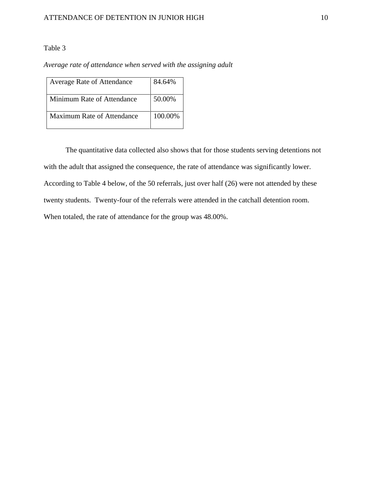## Table 3

*Average rate of attendance when served with the assigning adult*

| Average Rate of Attendance        | 84.64%  |
|-----------------------------------|---------|
| Minimum Rate of Attendance        | 50.00%  |
| <b>Maximum Rate of Attendance</b> | 100.00% |

The quantitative data collected also shows that for those students serving detentions not with the adult that assigned the consequence, the rate of attendance was significantly lower. According to Table 4 below, of the 50 referrals, just over half (26) were not attended by these twenty students. Twenty-four of the referrals were attended in the catchall detention room. When totaled, the rate of attendance for the group was 48.00%.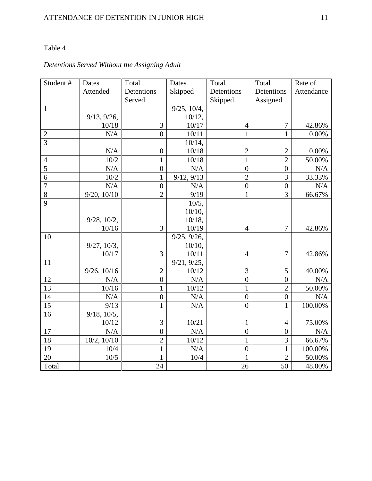## Table 4

## *Detentions Served Without the Assigning Adult*

| Student#        | Dates             | Total            | Dates             | Total            | Total            | Rate of    |
|-----------------|-------------------|------------------|-------------------|------------------|------------------|------------|
|                 | Attended          | Detentions       | Skipped           | Detentions       | Detentions       | Attendance |
|                 |                   | Served           |                   | Skipped          | Assigned         |            |
| $\mathbf{1}$    |                   |                  | $9/25$ , $10/4$ , |                  |                  |            |
|                 | 9/13, 9/26,       |                  | 10/12,            |                  |                  |            |
|                 | 10/18             | 3                | 10/17             | $\overline{4}$   | $\boldsymbol{7}$ | 42.86%     |
| $\mathbf{2}$    | N/A               | $\theta$         | 10/11             | $\mathbf{1}$     | 1                | 0.00%      |
| $\overline{3}$  |                   |                  | $10/14$ ,         |                  |                  |            |
|                 | N/A               | $\boldsymbol{0}$ | 10/18             | $\overline{2}$   | $\overline{2}$   | 0.00%      |
| $\overline{4}$  | 10/2              | $\mathbf 1$      | 10/18             | $\mathbf{1}$     | $\overline{2}$   | 50.00%     |
| $\overline{5}$  | N/A               | $\overline{0}$   | N/A               | $\overline{0}$   | $\overline{0}$   | N/A        |
| 6               | $10/2$            | 1                | 9/12, 9/13        | $\overline{2}$   | 3                | 33.33%     |
| $\overline{7}$  | N/A               | $\overline{0}$   | N/A               | $\overline{0}$   | $\overline{0}$   | N/A        |
| 8               | 9/20, 10/10       | $\overline{2}$   | 9/19              | $\mathbf{1}$     | 3                | 66.67%     |
| $\overline{9}$  |                   |                  | 10/5,             |                  |                  |            |
|                 |                   |                  | $10/10$ ,         |                  |                  |            |
|                 | $9/28$ , $10/2$ , |                  | $10/18$ ,         |                  |                  |            |
|                 | 10/16             | $\overline{3}$   | 10/19             | $\overline{4}$   | $\overline{7}$   | 42.86%     |
| 10              |                   |                  | 9/25, 9/26,       |                  |                  |            |
|                 | 9/27, 10/3,       |                  | $10/10$ ,         |                  |                  |            |
|                 | 10/17             | 3                | 10/11             | $\overline{4}$   | $\overline{7}$   | 42.86%     |
| 11              |                   |                  | 9/21, 9/25,       |                  |                  |            |
|                 | 9/26, 10/16       | $\overline{2}$   | 10/12             | 3                | 5                | 40.00%     |
| 12              | N/A               | $\overline{0}$   | N/A               | $\overline{0}$   | $\overline{0}$   | N/A        |
| $\overline{13}$ | $10/16$           | 1                | 10/12             | $\mathbf{1}$     | $\overline{2}$   | 50.00%     |
| $\overline{14}$ | N/A               | $\overline{0}$   | N/A               | $\overline{0}$   | $\overline{0}$   | N/A        |
| 15              | 9/13              | $\mathbf 1$      | N/A               | $\overline{0}$   | 1                | 100.00%    |
| 16              | $9/18$ , $10/5$ , |                  |                   |                  |                  |            |
|                 | 10/12             | 3                | 10/21             | $\mathbf{1}$     | $\overline{4}$   | 75.00%     |
| 17              | N/A               | $\boldsymbol{0}$ | N/A               | $\overline{0}$   | $\overline{0}$   | N/A        |
| 18              | 10/2, 10/10       | $\overline{2}$   | 10/12             | $\mathbf{1}$     | $\overline{3}$   | 66.67%     |
| 19              | 10/4              | $\mathbf{1}$     | N/A               | $\boldsymbol{0}$ | $\mathbf{1}$     | 100.00%    |
| 20              | $10/5$            | $\mathbf{1}$     | 10/4              | 1                | $\overline{2}$   | 50.00%     |
| Total           |                   | 24               |                   | 26               | 50               | 48.00%     |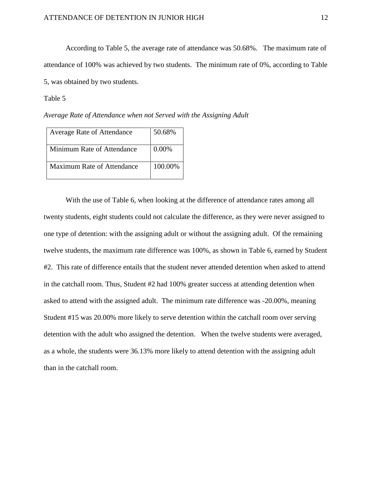According to Table 5, the average rate of attendance was 50.68%. The maximum rate of attendance of 100% was achieved by two students. The minimum rate of 0%, according to Table 5, was obtained by two students.

## Table 5

*Average Rate of Attendance when not Served with the Assigning Adult*

| <b>Average Rate of Attendance</b> | 50.68%  |
|-----------------------------------|---------|
| Minimum Rate of Attendance        | 0.00%   |
| <b>Maximum Rate of Attendance</b> | 100.00% |

With the use of Table 6, when looking at the difference of attendance rates among all twenty students, eight students could not calculate the difference, as they were never assigned to one type of detention: with the assigning adult or without the assigning adult. Of the remaining twelve students, the maximum rate difference was 100%, as shown in Table 6, earned by Student #2. This rate of difference entails that the student never attended detention when asked to attend in the catchall room. Thus, Student #2 had 100% greater success at attending detention when asked to attend with the assigned adult. The minimum rate difference was -20.00%, meaning Student #15 was 20.00% more likely to serve detention within the catchall room over serving detention with the adult who assigned the detention. When the twelve students were averaged, as a whole, the students were 36.13% more likely to attend detention with the assigning adult than in the catchall room.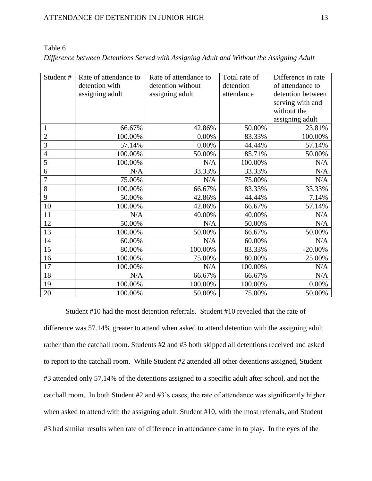| Student#       | Rate of attendance to | Rate of attendance to | Total rate of | Difference in rate |
|----------------|-----------------------|-----------------------|---------------|--------------------|
|                | detention with        | detention without     | detention     | of attendance to   |
|                | assigning adult       | assigning adult       | attendance    | detention between  |
|                |                       |                       |               | serving with and   |
|                |                       |                       |               | without the        |
|                |                       |                       |               | assigning adult    |
| $\mathbf{1}$   | 66.67%                | 42.86%                | 50.00%        | 23.81%             |
| $\overline{2}$ | 100.00%               | 0.00%                 | 83.33%        | 100.00%            |
| 3              | 57.14%                | 0.00%                 | 44.44%        | 57.14%             |
| $\overline{4}$ | 100.00%               | 50.00%                | 85.71%        | 50.00%             |
| 5              | 100.00%               | N/A                   | 100.00%       | N/A                |
| 6              | N/A                   | 33.33%                | 33.33%        | N/A                |
| 7              | 75.00%                | N/A                   | 75.00%        | N/A                |
| 8              | 100.00%               | 66.67%                | 83.33%        | 33.33%             |
| 9              | 50.00%                | 42.86%                | 44.44%        | 7.14%              |
| 10             | 100.00%               | 42.86%                | 66.67%        | 57.14%             |
| 11             | N/A                   | 40.00%                | 40.00%        | N/A                |
| 12             | 50.00%                | N/A                   | 50.00%        | N/A                |
| 13             | 100.00%               | 50.00%                | 66.67%        | 50.00%             |
| 14             | 60.00%                | N/A                   | 60.00%        | N/A                |
| 15             | 80.00%                | 100.00%               | 83.33%        | $-20.00\%$         |
| 16             | 100.00%               | 75.00%                | 80.00%        | 25.00%             |
| 17             | 100.00%               | N/A                   | 100.00%       | N/A                |
| 18             | N/A                   | 66.67%                | 66.67%        | N/A                |
| 19             | 100.00%               | 100.00%               | 100.00%       | 0.00%              |
| 20             | 100.00%               | 50.00%                | 75.00%        | 50.00%             |

Table 6 *Difference between Detentions Served with Assigning Adult and Without the Assigning Adult*

Student #10 had the most detention referrals. Student #10 revealed that the rate of difference was 57.14% greater to attend when asked to attend detention with the assigning adult rather than the catchall room. Students #2 and #3 both skipped all detentions received and asked to report to the catchall room. While Student #2 attended all other detentions assigned, Student #3 attended only 57.14% of the detentions assigned to a specific adult after school, and not the catchall room. In both Student #2 and #3's cases, the rate of attendance was significantly higher when asked to attend with the assigning adult. Student #10, with the most referrals, and Student #3 had similar results when rate of difference in attendance came in to play. In the eyes of the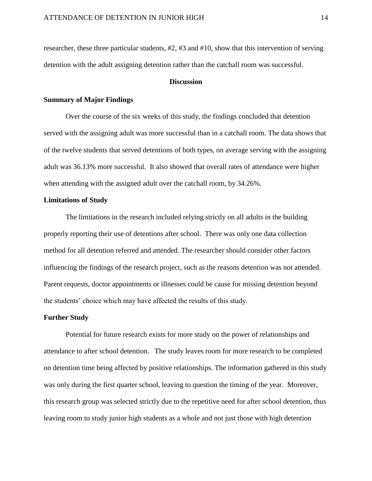researcher, these three particular students, #2, #3 and #10, show that this intervention of serving detention with the adult assigning detention rather than the catchall room was successful.

## **Discussion**

## **Summary of Major Findings**

Over the course of the six weeks of this study, the findings concluded that detention served with the assigning adult was more successful than in a catchall room. The data shows that of the twelve students that served detentions of both types, on average serving with the assigning adult was 36.13% more successful. It also showed that overall rates of attendance were higher when attending with the assigned adult over the catchall room, by 34.26%.

## **Limitations of Study**

The limitations in the research included relying strictly on all adults in the building properly reporting their use of detentions after school. There was only one data collection method for all detention referred and attended. The researcher should consider other factors influencing the findings of the research project, such as the reasons detention was not attended. Parent requests, doctor appointments or illnesses could be cause for missing detention beyond the students' choice which may have affected the results of this study.

## **Further Study**

Potential for future research exists for more study on the power of relationships and attendance to after school detention. The study leaves room for more research to be completed on detention time being affected by positive relationships. The information gathered in this study was only during the first quarter school, leaving to question the timing of the year. Moreover, this research group was selected strictly due to the repetitive need for after school detention, thus leaving room to study junior high students as a whole and not just those with high detention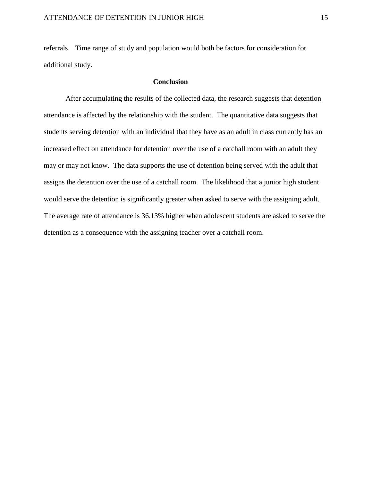referrals. Time range of study and population would both be factors for consideration for additional study.

## **Conclusion**

After accumulating the results of the collected data, the research suggests that detention attendance is affected by the relationship with the student. The quantitative data suggests that students serving detention with an individual that they have as an adult in class currently has an increased effect on attendance for detention over the use of a catchall room with an adult they may or may not know. The data supports the use of detention being served with the adult that assigns the detention over the use of a catchall room. The likelihood that a junior high student would serve the detention is significantly greater when asked to serve with the assigning adult. The average rate of attendance is 36.13% higher when adolescent students are asked to serve the detention as a consequence with the assigning teacher over a catchall room.